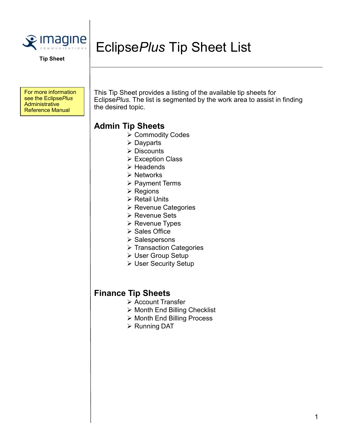

Tip Sheet

For more information<br>see the EclipsePlus **Administrative** Reference Manual

This Tip Sheet provides a listing of the available tip sheets for see the Eclipse*Plus*  $\vert$  Eclipse*Plus.* The list is segmented by the work area to assist in finding the desired topic.

## Admin Tip Sheets

**≻ Commodity Codes** 

EclipsePlus Tip Sheet List

- Dayparts
- **▶ Discounts**
- **► Exception Class**
- $\triangleright$  Headends
- **≻ Networks**
- **▶ Payment Terms**
- $\triangleright$  Regions
- **▶ Retail Units**
- **EXEC** Revenue Categories
- **≻ Revenue Sets**
- $\triangleright$  Revenue Types
- $\triangleright$  Sales Office
- $\triangleright$  Salespersons
- $\triangleright$  Transaction Categories
- User Group Setup
- User Security Setup

## Finance Tip Sheets

- **≻ Account Transfer**
- $\triangleright$  Month End Billing Checklist
- **▶ Month End Billing Process**
- ▶ Running DAT